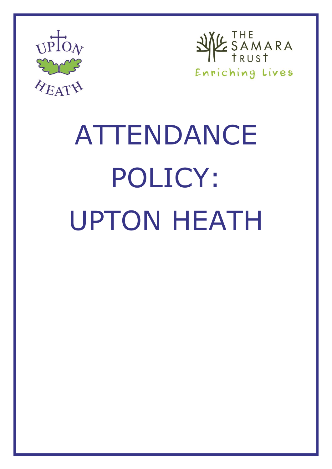



# ATTENDANCE POLICY: UPTON HEATH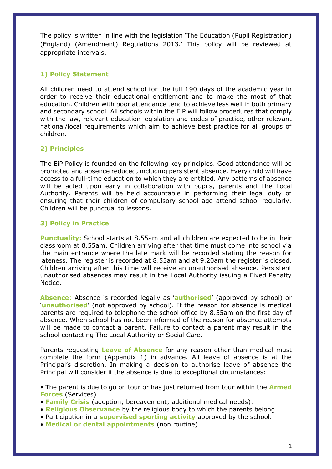The policy is written in line with the legislation 'The Education (Pupil Registration) (England) (Amendment) Regulations 2013.' This policy will be reviewed at appropriate intervals.

## **1) Policy Statement**

All children need to attend school for the full 190 days of the academic year in order to receive their educational entitlement and to make the most of that education. Children with poor attendance tend to achieve less well in both primary and secondary school. All schools within the EiP will follow procedures that comply with the law, relevant education legislation and codes of practice, other relevant national/local requirements which aim to achieve best practice for all groups of children.

# **2) Principles**

The EiP Policy is founded on the following key principles. Good attendance will be promoted and absence reduced, including persistent absence. Every child will have access to a full-time education to which they are entitled. Any patterns of absence will be acted upon early in collaboration with pupils, parents and The Local Authority. Parents will be held accountable in performing their legal duty of ensuring that their children of compulsory school age attend school regularly. Children will be punctual to lessons.

# **3) Policy in Practice**

**Punctuality:** School starts at 8.55am and all children are expected to be in their classroom at 8.55am. Children arriving after that time must come into school via the main entrance where the late mark will be recorded stating the reason for lateness. The register is recorded at 8.55am and at 9.20am the register is closed. Children arriving after this time will receive an unauthorised absence. Persistent unauthorised absences may result in the Local Authority issuing a Fixed Penalty Notice.

**Absence**: Absence is recorded legally as '**authorised**' (approved by school) or '**unauthorised**' (not approved by school). If the reason for absence is medical parents are required to telephone the school office by 8.55am on the first day of absence. When school has not been informed of the reason for absence attempts will be made to contact a parent. Failure to contact a parent may result in the school contacting The Local Authority or Social Care.

Parents requesting **Leave of Absence** for any reason other than medical must complete the form (Appendix 1) in advance. All leave of absence is at the Principal's discretion. In making a decision to authorise leave of absence the Principal will consider if the absence is due to exceptional circumstances:

• The parent is due to go on tour or has just returned from tour within the **Armed Forces** (Services).

- **Family Crisis** (adoption; bereavement; additional medical needs).
- **Religious Observance** by the religious body to which the parents belong.
- Participation in a **supervised sporting activity** approved by the school.
- **Medical or dental appointments** (non routine).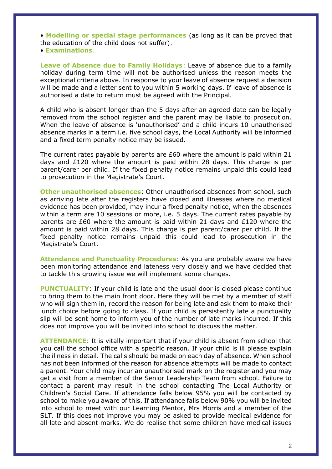• **Modelling or special stage performances** (as long as it can be proved that the education of the child does not suffer).

• **Examinations**.

**Leave of Absence due to Family Holidays**: Leave of absence due to a family holiday during term time will not be authorised unless the reason meets the exceptional criteria above. In response to your leave of absence request a decision will be made and a letter sent to you within 5 working days. If leave of absence is authorised a date to return must be agreed with the Principal.

A child who is absent longer than the 5 days after an agreed date can be legally removed from the school register and the parent may be liable to prosecution. When the leave of absence is 'unauthorised' and a child incurs 10 unauthorised absence marks in a term i.e. five school days, the Local Authority will be informed and a fixed term penalty notice may be issued.

The current rates payable by parents are £60 where the amount is paid within 21 days and  $£120$  where the amount is paid within 28 days. This charge is per parent/carer per child. If the fixed penalty notice remains unpaid this could lead to prosecution in the Magistrate's Court.

**Other unauthorised absences:** Other unauthorised absences from school, such as arriving late after the registers have closed and illnesses where no medical evidence has been provided, may incur a fixed penalty notice, when the absences within a term are 10 sessions or more, i.e. 5 days. The current rates payable by parents are £60 where the amount is paid within 21 days and £120 where the amount is paid within 28 days. This charge is per parent/carer per child. If the fixed penalty notice remains unpaid this could lead to prosecution in the Magistrate's Court.

**Attendance and Punctuality Procedures**: As you are probably aware we have been monitoring attendance and lateness very closely and we have decided that to tackle this growing issue we will implement some changes.

**PUNCTUALITY**: If your child is late and the usual door is closed please continue to bring them to the main front door. Here they will be met by a member of staff who will sign them in, record the reason for being late and ask them to make their lunch choice before going to class. If your child is persistently late a punctuality slip will be sent home to inform you of the number of late marks incurred. If this does not improve you will be invited into school to discuss the matter.

**ATTENDANCE**: It is vitally important that if your child is absent from school that you call the school office with a specific reason. If your child is ill please explain the illness in detail. The calls should be made on each day of absence. When school has not been informed of the reason for absence attempts will be made to contact a parent. Your child may incur an unauthorised mark on the register and you may get a visit from a member of the Senior Leadership Team from school. Failure to contact a parent may result in the school contacting The Local Authority or Children's Social Care. If attendance falls below 95% you will be contacted by school to make you aware of this. If attendance falls below 90% you will be invited into school to meet with our Learning Mentor, Mrs Morris and a member of the SLT. If this does not improve you may be asked to provide medical evidence for all late and absent marks. We do realise that some children have medical issues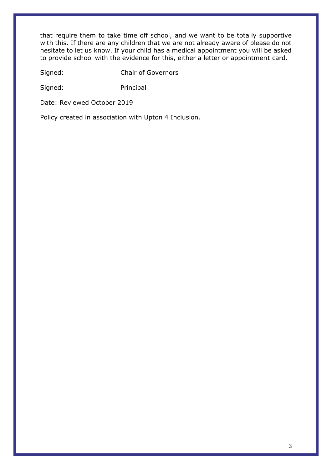that require them to take time off school, and we want to be totally supportive with this. If there are any children that we are not already aware of please do not hesitate to let us know. If your child has a medical appointment you will be asked to provide school with the evidence for this, either a letter or appointment card.

Signed: Chair of Governors

Signed: Principal

Date: Reviewed October 2019

Policy created in association with Upton 4 Inclusion.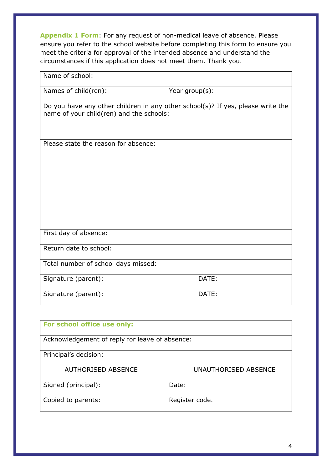**Appendix 1 Form**: For any request of non-medical leave of absence. Please ensure you refer to the school website before completing this form to ensure you meet the criteria for approval of the intended absence and understand the circumstances if this application does not meet them. Thank you.

| Name of school:                                                                                                             |                |
|-----------------------------------------------------------------------------------------------------------------------------|----------------|
| Names of child(ren):                                                                                                        | Year group(s): |
| Do you have any other children in any other school(s)? If yes, please write the<br>name of your child(ren) and the schools: |                |
| Please state the reason for absence:                                                                                        |                |
| First day of absence:                                                                                                       |                |
| Return date to school:                                                                                                      |                |
| Total number of school days missed:                                                                                         |                |
| Signature (parent):                                                                                                         | DATE:          |
| Signature (parent):                                                                                                         | DATE:          |

| For school office use only:                    |                      |  |
|------------------------------------------------|----------------------|--|
| Acknowledgement of reply for leave of absence: |                      |  |
| Principal's decision:                          |                      |  |
| <b>AUTHORISED ABSENCE</b>                      | UNAUTHORISED ABSENCE |  |
| Signed (principal):                            | Date:                |  |
| Copied to parents:                             | Register code.       |  |